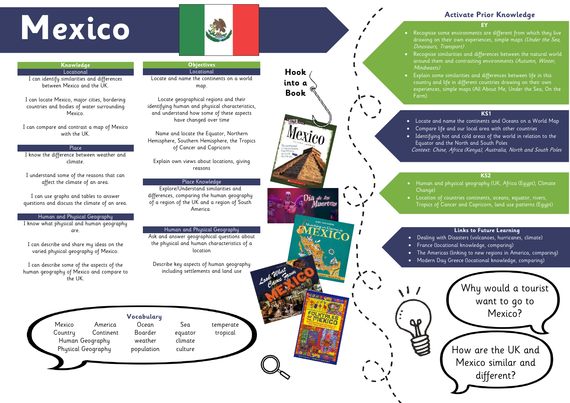- drawing on their own experiences, simple maps (Under the Sea, Dinosaurs, Transport)
- Recognise similarities and differences between the natural world around them and contrasting environments (Autumn, Winter, Minibeasts)
- Explain some similarities and differences between life in this
	- country and life in different countries drawing on their own
	- experiences, simple maps (All About Me, Under the Sea, On the

Farm)

# **Activate Prior Knowledge**

# **KS1**

- Locate and name the continents and Oceans on a World Map • Compare life and our local area with other countries • Identifying hot and cold areas of the world in relation to the Equator and the North and South Poles
- Context: Chine, Africa (Kenya), Australia, North and South Poles

# **MEXICO EXICO EXICO EXICO EXICO EXICO EXICO EXICO EXICO EXICO EXICO EXICO EXICO EXICO EXICO EXICO EXICO EXICO EXICO EXICO EXICO EXICO EXICO EXICO EXICO EXICO EXICO EXIC**



### **Knowledge Locational**



# **KS2**



- Human and physical geography (UK, Africa (Egypt), Climate
- Location of countries continents, oceans, equator, rivers,
	- Tropics of Cancer and Capricorn, land use patterns (Egypt)

### **Links to Future Learning**

• Dealing with Disasters (volcanoes, hurricanes, climate) • France (locational knowledge, comparing) • The Americas (linking to new regions in America, comparing ) • Modern Day Greece (locational knowledge, comparing)

I can identify similarities and differences between Mexico and the UK.

I can locate Mexico, major cities, bordering countries and bodies of water surrounding Mexico.

I can compare and contrast a map of Mexico with the UK.

### Place

I know the difference between weather and climate.

I understand some of the reasons that can affect the climate of an area.

I can use graphs and tables to answer questions and discuss the climate of an area.

### Human and Physical Geography

I know what physical and human geography are .

I can describe and share my ideas on the varied physical geography of Mexico.

I can describe some of the aspects of the human geography of Mexico and compare to the UK.

# **Objectives**

Locational Locate and name the continents on a world map .

Locate geographical regions and their identifying human and physical characteristics, and understand how some of these aspects have changed over time

Name and locate the Equator, Northern Hemisphere, Southern Hemisphere, the Tropics of Cancer and Capricorn

Explain own views about locations, giving reasons

# Place Knowledge

Explore/Understand similarities and differences, comparing the human geography of a region of the UK and a region of South America

# Human and Physical Geography

Ask and answer geographical questions about the physical and human characteristics of a location

Describe key aspects of human geography including settlements and land use

# **Vocabulary** Mexico America Ocean Sea temperate

Human Geography weather climate Physical Geography population culture

Country Continent Boarder equator tropical

# **Hook into a Book**